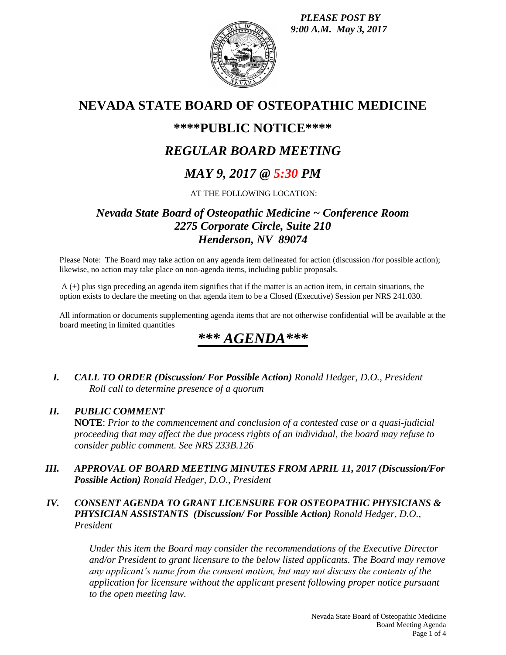*PLEASE POST BY 9:00 A.M. May 3, 2017*



# **NEVADA STATE BOARD OF OSTEOPATHIC MEDICINE**

## **\*\*\*\*PUBLIC NOTICE\*\*\*\***

# *REGULAR BOARD MEETING*

# *MAY 9, 2017 @ 5:30 PM*

## AT THE FOLLOWING LOCATION:

## *Nevada State Board of Osteopathic Medicine ~ Conference Room 2275 Corporate Circle, Suite 210 Henderson, NV 89074*

Please Note: The Board may take action on any agenda item delineated for action (discussion /for possible action); likewise, no action may take place on non-agenda items, including public proposals.

A (+) plus sign preceding an agenda item signifies that if the matter is an action item, in certain situations, the option exists to declare the meeting on that agenda item to be a Closed (Executive) Session per NRS 241.030.

All information or documents supplementing agenda items that are not otherwise confidential will be available at the board meeting in limited quantities

# \*\*\* *AGEN*

*I. CALL TO ORDER (Discussion/ For Possible Action) Ronald Hedger, D.O., President Roll call to determine presence of a quorum*

### *II. PUBLIC COMMENT*

**NOTE**: *Prior to the commencement and conclusion of a contested case or a quasi-judicial proceeding that may affect the due process rights of an individual, the board may refuse to consider public comment. See NRS 233B.126*

*III. APPROVAL OF BOARD MEETING MINUTES FROM APRIL 11, 2017 (Discussion/For Possible Action) Ronald Hedger, D.O., President*

### *IV. CONSENT AGENDA TO GRANT LICENSURE FOR OSTEOPATHIC PHYSICIANS & PHYSICIAN ASSISTANTS (Discussion/ For Possible Action) Ronald Hedger, D.O., President*

*Under this item the Board may consider the recommendations of the Executive Director and/or President to grant licensure to the below listed applicants. The Board may remove any applicant's name from the consent motion, but may not discuss the contents of the application for licensure without the applicant present following proper notice pursuant to the open meeting law.*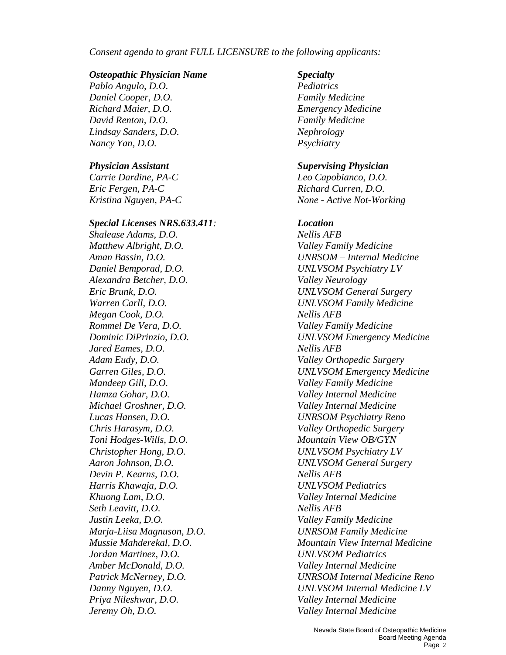*Consent agenda to grant FULL LICENSURE to the following applicants:*

### *Osteopathic Physician Name Specialty*

*Pablo Angulo, D.O. Pediatrics Daniel Cooper, D.O. Family Medicine Richard Maier, D.O. Emergency Medicine David Renton, D.O. Family Medicine Lindsay Sanders, D.O. Nephrology Nancy Yan, D.O. Psychiatry*

*Carrie Dardine, PA-C Leo Capobianco, D.O. Eric Fergen, PA-C Richard Curren, D.O.*

### *Special Licenses NRS.633.411: Location*

*Shalease Adams, D.O. Nellis AFB Matthew Albright, D.O. Valley Family Medicine Daniel Bemporad, D.O. UNLVSOM Psychiatry LV Alexandra Betcher, D.O. Valley Neurology Eric Brunk, D.O. UNLVSOM General Surgery Megan Cook, D.O. Nellis AFB Rommel De Vera, D.O. Valley Family Medicine Jared Eames, D.O. Nellis AFB Adam Eudy, D.O. Valley Orthopedic Surgery Mandeep Gill, D.O. Valley Family Medicine Hamza Gohar, D.O. Valley Internal Medicine Michael Groshner, D.O. Valley Internal Medicine Lucas Hansen, D.O. UNRSOM Psychiatry Reno Chris Harasym, D.O. Valley Orthopedic Surgery Toni Hodges-Wills, D.O. Mountain View OB/GYN Christopher Hong, D.O. UNLVSOM Psychiatry LV Aaron Johnson, D.O. UNLVSOM General Surgery Devin P. Kearns, D.O. Nellis AFB Harris Khawaja, D.O. UNLVSOM Pediatrics Khuong Lam, D.O. Valley Internal Medicine Seth Leavitt, D.O. Nellis AFB Justin Leeka, D.O. Valley Family Medicine Marja-Liisa Magnuson, D.O. UNRSOM Family Medicine Jordan Martinez, D.O. UNLVSOM Pediatrics Amber McDonald, D.O. Valley Internal Medicine Priya Nileshwar, D.O. Valley Internal Medicine Jeremy Oh, D.O. Valley Internal Medicine* 

### *Physician Assistant Supervising Physician*

*Kristina Nguyen, PA-C None - Active Not-Working*

*Aman Bassin, D.O. UNRSOM – Internal Medicine Warren Carll, D.O. UNLVSOM Family Medicine Dominic DiPrinzio, D.O. UNLVSOM Emergency Medicine Garren Giles, D.O. UNLVSOM Emergency Medicine Mussie Mahderekal, D.O. Mountain View Internal Medicine Patrick McNerney, D.O. UNRSOM Internal Medicine Reno Danny Nguyen, D.O. UNLVSOM Internal Medicine LV*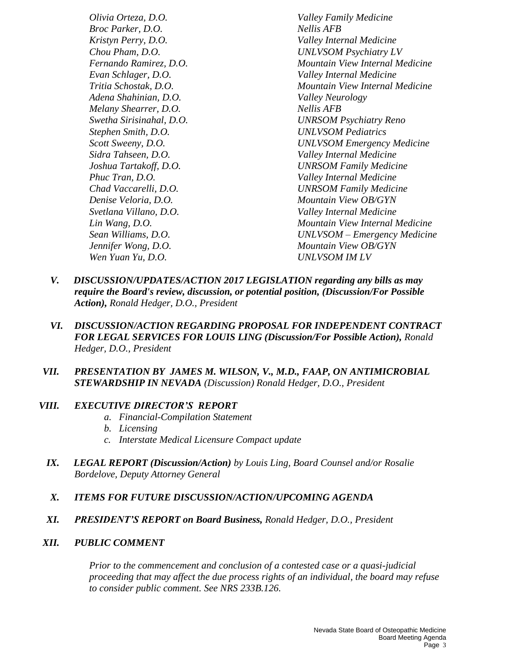*Broc Parker, D.O. Nellis AFB Adena Shahinian, D.O. Valley Neurology Melany Shearrer, D.O. Nellis AFB Stephen Smith, D.O. UNLVSOM Pediatrics Wen Yuan Yu, D.O. UNLVSOM IM LV*

*Olivia Orteza, D.O. Valley Family Medicine Kristyn Perry, D.O. Valley Internal Medicine Chou Pham, D.O. UNLVSOM Psychiatry LV Fernando Ramirez, D.O. Mountain View Internal Medicine Evan Schlager, D.O. Valley Internal Medicine Tritia Schostak, D.O. Mountain View Internal Medicine Swetha Sirisinahal, D.O. UNRSOM Psychiatry Reno Scott Sweeny, D.O. UNLVSOM Emergency Medicine Sidra Tahseen, D.O. Valley Internal Medicine Joshua Tartakoff, D.O. UNRSOM Family Medicine Phuc Tran, D.O. Valley Internal Medicine Chad Vaccarelli, D.O. UNRSOM Family Medicine Denise Veloria, D.O. Mountain View OB/GYN Svetlana Villano, D.O. Valley Internal Medicine Lin Wang, D.O. Mountain View Internal Medicine Sean Williams, D.O. UNLVSOM – Emergency Medicine Jennifer Wong, D.O. Mountain View OB/GYN*

- *V. DISCUSSION/UPDATES/ACTION 2017 LEGISLATION regarding any bills as may require the Board's review, discussion, or potential position, (Discussion/For Possible Action), Ronald Hedger, D.O., President*
- *VI. DISCUSSION/ACTION REGARDING PROPOSAL FOR INDEPENDENT CONTRACT FOR LEGAL SERVICES FOR LOUIS LING (Discussion/For Possible Action), Ronald Hedger, D.O., President*
- *VII. PRESENTATION BY JAMES M. WILSON, V., M.D., FAAP, ON ANTIMICROBIAL STEWARDSHIP IN NEVADA (Discussion) Ronald Hedger, D.O., President*

### *VIII. EXECUTIVE DIRECTOR'S REPORT*

- *a. Financial-Compilation Statement*
- *b. Licensing*
- *c. Interstate Medical Licensure Compact update*
- *IX. LEGAL REPORT (Discussion/Action) by Louis Ling, Board Counsel and/or Rosalie Bordelove, Deputy Attorney General*
- *X. ITEMS FOR FUTURE DISCUSSION/ACTION/UPCOMING AGENDA*
- *XI. PRESIDENT'S REPORT on Board Business, Ronald Hedger, D.O., President*

### *XII. PUBLIC COMMENT*

*Prior to the commencement and conclusion of a contested case or a quasi-judicial proceeding that may affect the due process rights of an individual, the board may refuse to consider public comment. See NRS 233B.126.*